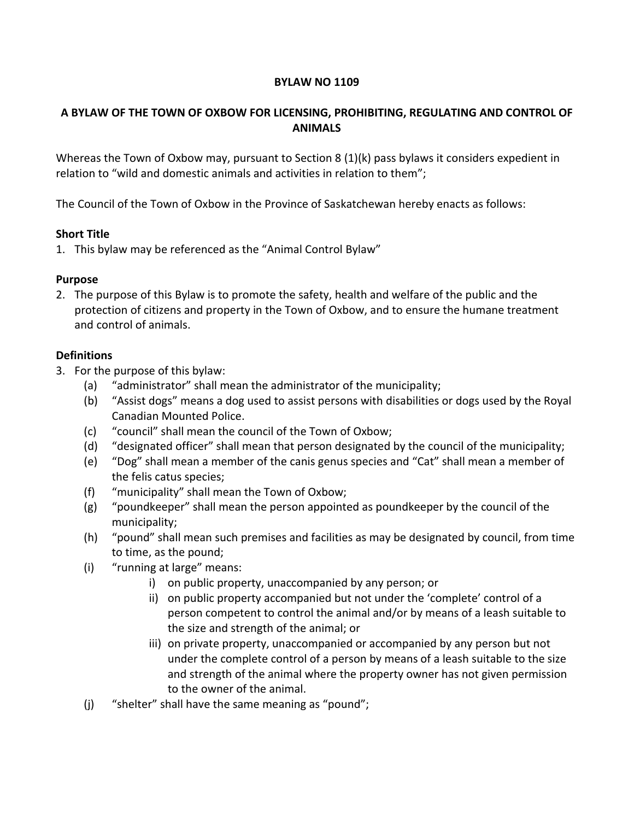#### BYLAW NO 1109

## A BYLAW OF THE TOWN OF OXBOW FOR LICENSING, PROHIBITING, REGULATING AND CONTROL OF ANIMALS

Whereas the Town of Oxbow may, pursuant to Section 8 (1)(k) pass bylaws it considers expedient in relation to "wild and domestic animals and activities in relation to them";

The Council of the Town of Oxbow in the Province of Saskatchewan hereby enacts as follows:

#### Short Title

1. This bylaw may be referenced as the "Animal Control Bylaw"

#### Purpose

2. The purpose of this Bylaw is to promote the safety, health and welfare of the public and the protection of citizens and property in the Town of Oxbow, and to ensure the humane treatment and control of animals.

#### **Definitions**

- 3. For the purpose of this bylaw:
	- (a) "administrator" shall mean the administrator of the municipality;
	- (b) "Assist dogs" means a dog used to assist persons with disabilities or dogs used by the Royal Canadian Mounted Police.
	- (c) "council" shall mean the council of the Town of Oxbow;
	- (d) "designated officer" shall mean that person designated by the council of the municipality;
	- (e) "Dog" shall mean a member of the canis genus species and "Cat" shall mean a member of the felis catus species;
	- (f) "municipality" shall mean the Town of Oxbow;
	- (g) "poundkeeper" shall mean the person appointed as poundkeeper by the council of the municipality;
	- (h) "pound" shall mean such premises and facilities as may be designated by council, from time to time, as the pound;
	- (i) "running at large" means:
		- i) on public property, unaccompanied by any person; or
		- ii) on public property accompanied but not under the 'complete' control of a person competent to control the animal and/or by means of a leash suitable to the size and strength of the animal; or
		- iii) on private property, unaccompanied or accompanied by any person but not under the complete control of a person by means of a leash suitable to the size and strength of the animal where the property owner has not given permission to the owner of the animal.
	- (j) "shelter" shall have the same meaning as "pound";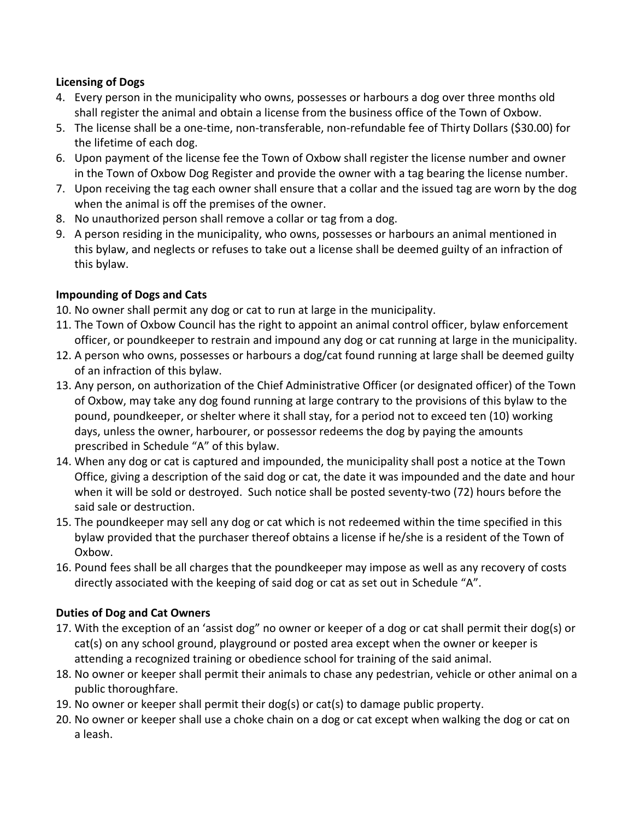## Licensing of Dogs

- 4. Every person in the municipality who owns, possesses or harbours a dog over three months old shall register the animal and obtain a license from the business office of the Town of Oxbow.
- 5. The license shall be a one-time, non-transferable, non-refundable fee of Thirty Dollars (\$30.00) for the lifetime of each dog.
- 6. Upon payment of the license fee the Town of Oxbow shall register the license number and owner in the Town of Oxbow Dog Register and provide the owner with a tag bearing the license number.
- 7. Upon receiving the tag each owner shall ensure that a collar and the issued tag are worn by the dog when the animal is off the premises of the owner.
- 8. No unauthorized person shall remove a collar or tag from a dog.
- 9. A person residing in the municipality, who owns, possesses or harbours an animal mentioned in this bylaw, and neglects or refuses to take out a license shall be deemed guilty of an infraction of this bylaw.

## Impounding of Dogs and Cats

- 10. No owner shall permit any dog or cat to run at large in the municipality.
- 11. The Town of Oxbow Council has the right to appoint an animal control officer, bylaw enforcement officer, or poundkeeper to restrain and impound any dog or cat running at large in the municipality.
- 12. A person who owns, possesses or harbours a dog/cat found running at large shall be deemed guilty of an infraction of this bylaw.
- 13. Any person, on authorization of the Chief Administrative Officer (or designated officer) of the Town of Oxbow, may take any dog found running at large contrary to the provisions of this bylaw to the pound, poundkeeper, or shelter where it shall stay, for a period not to exceed ten (10) working days, unless the owner, harbourer, or possessor redeems the dog by paying the amounts prescribed in Schedule "A" of this bylaw.
- 14. When any dog or cat is captured and impounded, the municipality shall post a notice at the Town Office, giving a description of the said dog or cat, the date it was impounded and the date and hour when it will be sold or destroyed. Such notice shall be posted seventy-two (72) hours before the said sale or destruction.
- 15. The poundkeeper may sell any dog or cat which is not redeemed within the time specified in this bylaw provided that the purchaser thereof obtains a license if he/she is a resident of the Town of Oxbow.
- 16. Pound fees shall be all charges that the poundkeeper may impose as well as any recovery of costs directly associated with the keeping of said dog or cat as set out in Schedule "A".

# Duties of Dog and Cat Owners

- 17. With the exception of an 'assist dog" no owner or keeper of a dog or cat shall permit their dog(s) or cat(s) on any school ground, playground or posted area except when the owner or keeper is attending a recognized training or obedience school for training of the said animal.
- 18. No owner or keeper shall permit their animals to chase any pedestrian, vehicle or other animal on a public thoroughfare.
- 19. No owner or keeper shall permit their dog(s) or cat(s) to damage public property.
- 20. No owner or keeper shall use a choke chain on a dog or cat except when walking the dog or cat on a leash.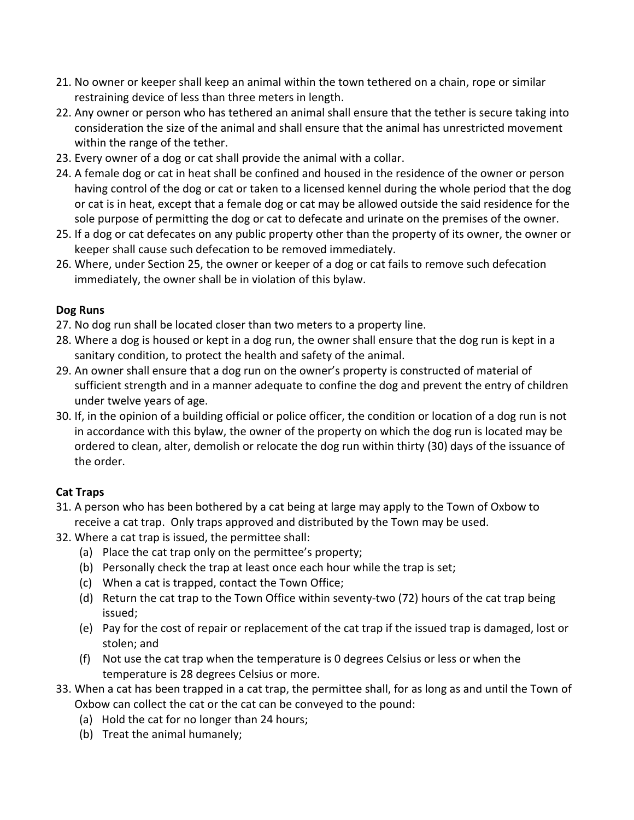- 21. No owner or keeper shall keep an animal within the town tethered on a chain, rope or similar restraining device of less than three meters in length.
- 22. Any owner or person who has tethered an animal shall ensure that the tether is secure taking into consideration the size of the animal and shall ensure that the animal has unrestricted movement within the range of the tether.
- 23. Every owner of a dog or cat shall provide the animal with a collar.
- 24. A female dog or cat in heat shall be confined and housed in the residence of the owner or person having control of the dog or cat or taken to a licensed kennel during the whole period that the dog or cat is in heat, except that a female dog or cat may be allowed outside the said residence for the sole purpose of permitting the dog or cat to defecate and urinate on the premises of the owner.
- 25. If a dog or cat defecates on any public property other than the property of its owner, the owner or keeper shall cause such defecation to be removed immediately.
- 26. Where, under Section 25, the owner or keeper of a dog or cat fails to remove such defecation immediately, the owner shall be in violation of this bylaw.

## Dog Runs

- 27. No dog run shall be located closer than two meters to a property line.
- 28. Where a dog is housed or kept in a dog run, the owner shall ensure that the dog run is kept in a sanitary condition, to protect the health and safety of the animal.
- 29. An owner shall ensure that a dog run on the owner's property is constructed of material of sufficient strength and in a manner adequate to confine the dog and prevent the entry of children under twelve years of age.
- 30. If, in the opinion of a building official or police officer, the condition or location of a dog run is not in accordance with this bylaw, the owner of the property on which the dog run is located may be ordered to clean, alter, demolish or relocate the dog run within thirty (30) days of the issuance of the order.

# Cat Traps

- 31. A person who has been bothered by a cat being at large may apply to the Town of Oxbow to receive a cat trap. Only traps approved and distributed by the Town may be used.
- 32. Where a cat trap is issued, the permittee shall:
	- (a) Place the cat trap only on the permittee's property;
	- (b) Personally check the trap at least once each hour while the trap is set;
	- (c) When a cat is trapped, contact the Town Office;
	- (d) Return the cat trap to the Town Office within seventy-two (72) hours of the cat trap being issued;
	- (e) Pay for the cost of repair or replacement of the cat trap if the issued trap is damaged, lost or stolen; and
	- (f) Not use the cat trap when the temperature is 0 degrees Celsius or less or when the temperature is 28 degrees Celsius or more.
- 33. When a cat has been trapped in a cat trap, the permittee shall, for as long as and until the Town of Oxbow can collect the cat or the cat can be conveyed to the pound:
	- (a) Hold the cat for no longer than 24 hours;
	- (b) Treat the animal humanely;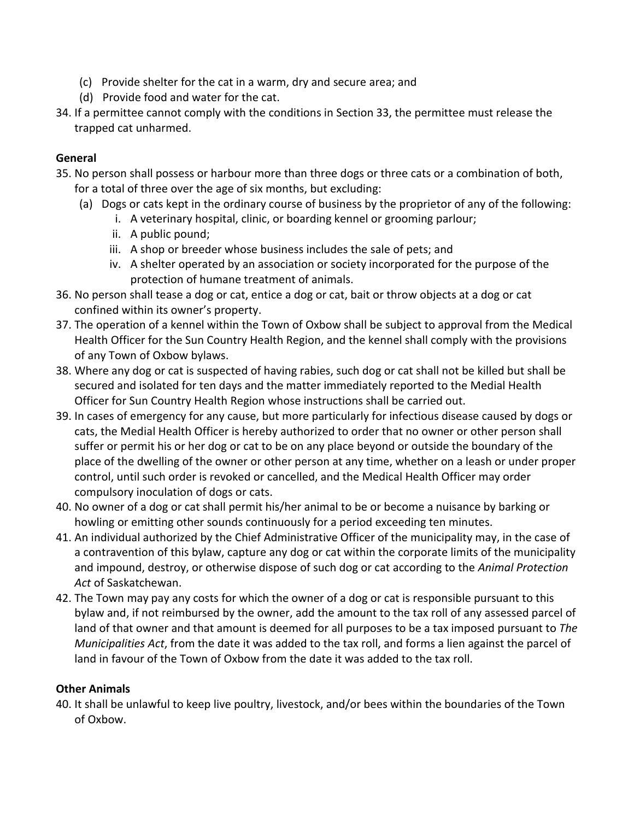- (c) Provide shelter for the cat in a warm, dry and secure area; and
- (d) Provide food and water for the cat.
- 34. If a permittee cannot comply with the conditions in Section 33, the permittee must release the trapped cat unharmed.

## General

- 35. No person shall possess or harbour more than three dogs or three cats or a combination of both, for a total of three over the age of six months, but excluding:
	- (a) Dogs or cats kept in the ordinary course of business by the proprietor of any of the following:
		- i. A veterinary hospital, clinic, or boarding kennel or grooming parlour;
		- ii. A public pound;
		- iii. A shop or breeder whose business includes the sale of pets; and
		- iv. A shelter operated by an association or society incorporated for the purpose of the protection of humane treatment of animals.
- 36. No person shall tease a dog or cat, entice a dog or cat, bait or throw objects at a dog or cat confined within its owner's property.
- 37. The operation of a kennel within the Town of Oxbow shall be subject to approval from the Medical Health Officer for the Sun Country Health Region, and the kennel shall comply with the provisions of any Town of Oxbow bylaws.
- 38. Where any dog or cat is suspected of having rabies, such dog or cat shall not be killed but shall be secured and isolated for ten days and the matter immediately reported to the Medial Health Officer for Sun Country Health Region whose instructions shall be carried out.
- 39. In cases of emergency for any cause, but more particularly for infectious disease caused by dogs or cats, the Medial Health Officer is hereby authorized to order that no owner or other person shall suffer or permit his or her dog or cat to be on any place beyond or outside the boundary of the place of the dwelling of the owner or other person at any time, whether on a leash or under proper control, until such order is revoked or cancelled, and the Medical Health Officer may order compulsory inoculation of dogs or cats.
- 40. No owner of a dog or cat shall permit his/her animal to be or become a nuisance by barking or howling or emitting other sounds continuously for a period exceeding ten minutes.
- 41. An individual authorized by the Chief Administrative Officer of the municipality may, in the case of a contravention of this bylaw, capture any dog or cat within the corporate limits of the municipality and impound, destroy, or otherwise dispose of such dog or cat according to the *Animal Protection Act* of Saskatchewan.
- 42. The Town may pay any costs for which the owner of a dog or cat is responsible pursuant to this bylaw and, if not reimbursed by the owner, add the amount to the tax roll of any assessed parcel of land of that owner and that amount is deemed for all purposes to be a tax imposed pursuant to *The Municipalities Act*, from the date it was added to the tax roll, and forms a lien against the parcel of land in favour of the Town of Oxbow from the date it was added to the tax roll.

# Other Animals

40. It shall be unlawful to keep live poultry, livestock, and/or bees within the boundaries of the Town of Oxbow.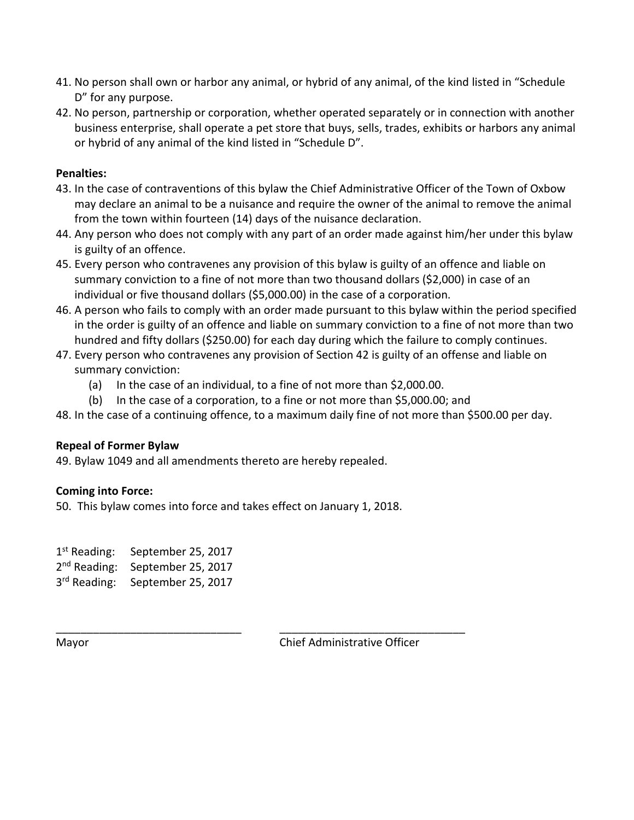- 41. No person shall own or harbor any animal, or hybrid of any animal, of the kind listed in "Schedule D" for any purpose.
- 42. No person, partnership or corporation, whether operated separately or in connection with another business enterprise, shall operate a pet store that buys, sells, trades, exhibits or harbors any animal or hybrid of any animal of the kind listed in "Schedule D".

## Penalties:

- 43. In the case of contraventions of this bylaw the Chief Administrative Officer of the Town of Oxbow may declare an animal to be a nuisance and require the owner of the animal to remove the animal from the town within fourteen (14) days of the nuisance declaration.
- 44. Any person who does not comply with any part of an order made against him/her under this bylaw is guilty of an offence.
- 45. Every person who contravenes any provision of this bylaw is guilty of an offence and liable on summary conviction to a fine of not more than two thousand dollars (\$2,000) in case of an individual or five thousand dollars (\$5,000.00) in the case of a corporation.
- 46. A person who fails to comply with an order made pursuant to this bylaw within the period specified in the order is guilty of an offence and liable on summary conviction to a fine of not more than two hundred and fifty dollars (\$250.00) for each day during which the failure to comply continues.
- 47. Every person who contravenes any provision of Section 42 is guilty of an offense and liable on summary conviction:
	- (a) In the case of an individual, to a fine of not more than \$2,000.00.

\_\_\_\_\_\_\_\_\_\_\_\_\_\_\_\_\_\_\_\_\_\_\_\_\_\_\_\_\_\_ \_\_\_\_\_\_\_\_\_\_\_\_\_\_\_\_\_\_\_\_\_\_\_\_\_\_\_\_\_\_

- (b) In the case of a corporation, to a fine or not more than \$5,000.00; and
- 48. In the case of a continuing offence, to a maximum daily fine of not more than \$500.00 per day.

#### Repeal of Former Bylaw

49. Bylaw 1049 and all amendments thereto are hereby repealed.

#### Coming into Force:

50. This bylaw comes into force and takes effect on January 1, 2018.

1<sup>st</sup> Reading: September 25, 2017 2<sup>nd</sup> Reading: September 25, 2017 3<sup>rd</sup> Reading: September 25, 2017

Mayor Chief Administrative Officer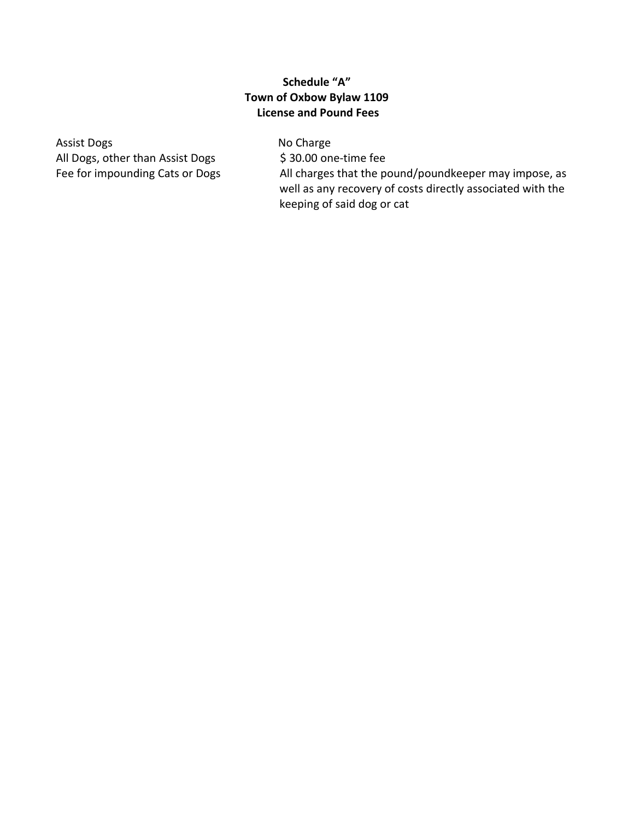## Schedule "A" Town of Oxbow Bylaw 1109 License and Pound Fees

Assist Dogs No Charge All Dogs, other than Assist Dogs \$30.00 one-time fee

Fee for impounding Cats or Dogs All charges that the pound/poundkeeper may impose, as well as any recovery of costs directly associated with the keeping of said dog or cat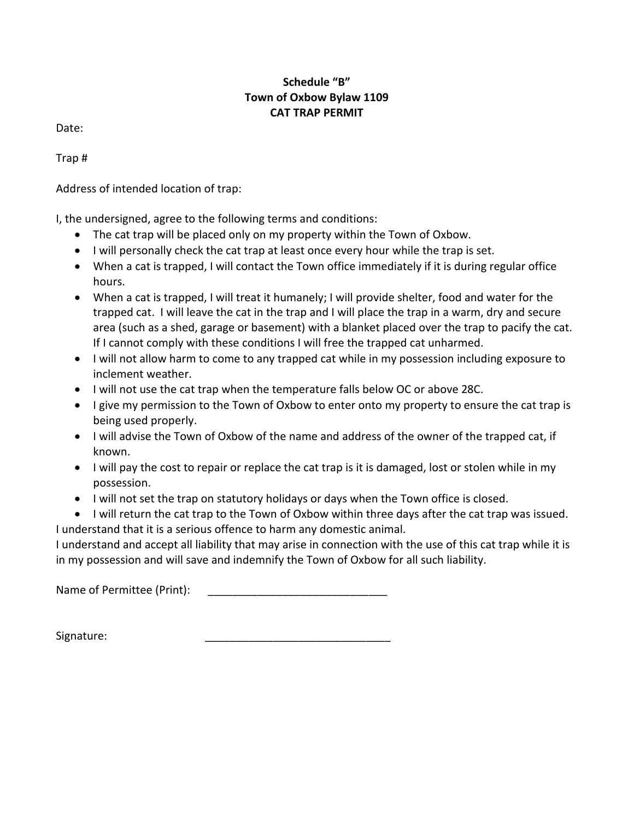# Schedule "B" Town of Oxbow Bylaw 1109 CAT TRAP PERMIT

Date:

Trap #

Address of intended location of trap:

I, the undersigned, agree to the following terms and conditions:

- The cat trap will be placed only on my property within the Town of Oxbow.
- I will personally check the cat trap at least once every hour while the trap is set.
- When a cat is trapped, I will contact the Town office immediately if it is during regular office hours.
- When a cat is trapped, I will treat it humanely; I will provide shelter, food and water for the trapped cat. I will leave the cat in the trap and I will place the trap in a warm, dry and secure area (such as a shed, garage or basement) with a blanket placed over the trap to pacify the cat. If I cannot comply with these conditions I will free the trapped cat unharmed.
- I will not allow harm to come to any trapped cat while in my possession including exposure to inclement weather.
- I will not use the cat trap when the temperature falls below OC or above 28C.
- $\bullet$  I give my permission to the Town of Oxbow to enter onto my property to ensure the cat trap is being used properly.
- I will advise the Town of Oxbow of the name and address of the owner of the trapped cat, if known.
- I will pay the cost to repair or replace the cat trap is it is damaged, lost or stolen while in my possession.
- I will not set the trap on statutory holidays or days when the Town office is closed.
- I will return the cat trap to the Town of Oxbow within three days after the cat trap was issued.

I understand that it is a serious offence to harm any domestic animal.

I understand and accept all liability that may arise in connection with the use of this cat trap while it is in my possession and will save and indemnify the Town of Oxbow for all such liability.

Name of Permittee (Print):

Signature: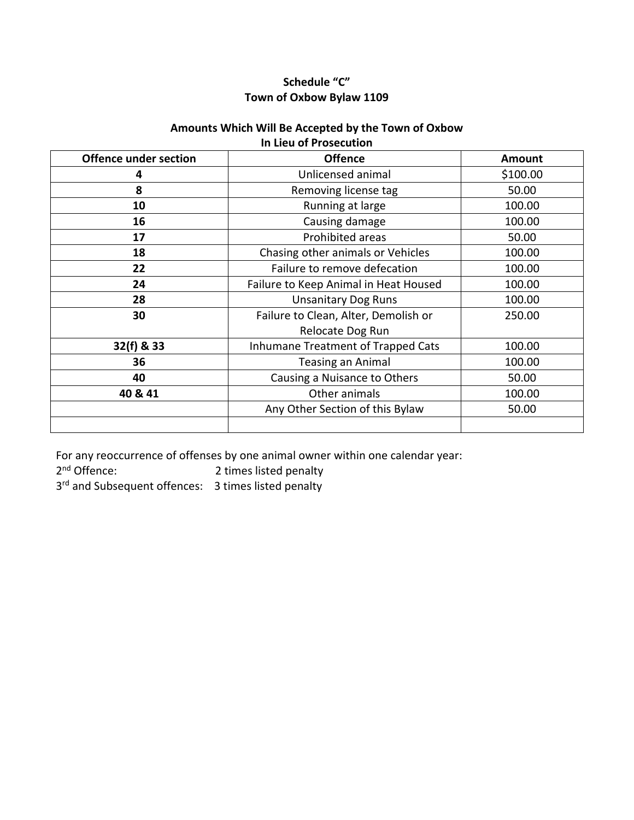# Schedule "C" Town of Oxbow Bylaw 1109

#### Amounts Which Will Be Accepted by the Town of Oxbow In Lieu of Prosecution

| <b>Offence under section</b> | <b>Offence</b>                        | <b>Amount</b> |
|------------------------------|---------------------------------------|---------------|
| 4                            | Unlicensed animal                     | \$100.00      |
| 8                            | Removing license tag                  | 50.00         |
| 10                           | Running at large                      | 100.00        |
| 16                           | Causing damage                        | 100.00        |
| 17                           | Prohibited areas                      | 50.00         |
| 18                           | Chasing other animals or Vehicles     | 100.00        |
| 22                           | Failure to remove defecation          | 100.00        |
| 24                           | Failure to Keep Animal in Heat Housed | 100.00        |
| 28                           | <b>Unsanitary Dog Runs</b>            | 100.00        |
| 30                           | Failure to Clean, Alter, Demolish or  | 250.00        |
|                              | Relocate Dog Run                      |               |
| 32(f) & 33                   | Inhumane Treatment of Trapped Cats    | 100.00        |
| 36                           | <b>Teasing an Animal</b>              | 100.00        |
| 40                           | Causing a Nuisance to Others          | 50.00         |
| 40 & 41                      | Other animals                         | 100.00        |
|                              | Any Other Section of this Bylaw       | 50.00         |
|                              |                                       |               |

For any reoccurrence of offenses by one animal owner within one calendar year:<br> $2<sup>nd</sup>$  Offence: 2<sup>nd</sup> Offence:

2 times listed penalty

3<sup>rd</sup> and Subsequent offences: 3 times listed penalty